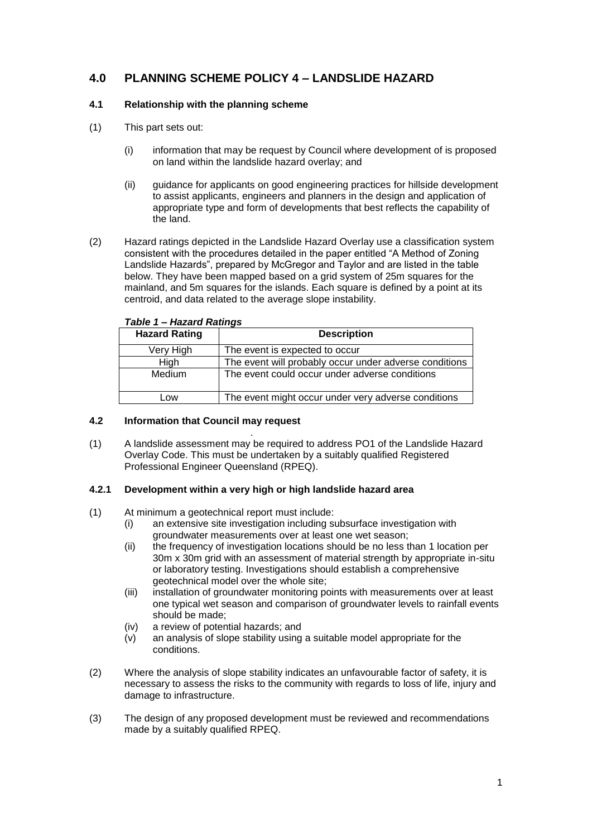# **4.0 PLANNING SCHEME POLICY 4 – LANDSLIDE HAZARD**

#### **4.1 Relationship with the planning scheme**

- (1) This part sets out:
	- (i) information that may be request by Council where development of is proposed on land within the landslide hazard overlay; and
	- (ii) guidance for applicants on good engineering practices for hillside development to assist applicants, engineers and planners in the design and application of appropriate type and form of developments that best reflects the capability of the land.
- (2) Hazard ratings depicted in the Landslide Hazard Overlay use a classification system consistent with the procedures detailed in the paper entitled "A Method of Zoning Landslide Hazards", prepared by McGregor and Taylor and are listed in the table below. They have been mapped based on a grid system of 25m squares for the mainland, and 5m squares for the islands. Each square is defined by a point at its centroid, and data related to the average slope instability.

| <b>Hazard Rating</b> | <b>Description</b>                                     |  |
|----------------------|--------------------------------------------------------|--|
| Very High            | The event is expected to occur                         |  |
| High                 | The event will probably occur under adverse conditions |  |
| Medium               | The event could occur under adverse conditions         |  |
| Low                  | The event might occur under very adverse conditions    |  |

#### *Table 1 – Hazard Ratings*

#### **4.2 Information that Council may request**

. (1) A landslide assessment may be required to address PO1 of the Landslide Hazard Overlay Code. This must be undertaken by a suitably qualified Registered Professional Engineer Queensland (RPEQ).

#### **4.2.1 Development within a very high or high landslide hazard area**

- (1) At minimum a geotechnical report must include:
	- (i) an extensive site investigation including subsurface investigation with groundwater measurements over at least one wet season;
	- (ii) the frequency of investigation locations should be no less than 1 location per 30m x 30m grid with an assessment of material strength by appropriate in-situ or laboratory testing. Investigations should establish a comprehensive geotechnical model over the whole site;
	- (iii) installation of groundwater monitoring points with measurements over at least one typical wet season and comparison of groundwater levels to rainfall events should be made;
	- (iv) a review of potential hazards; and
	- (v) an analysis of slope stability using a suitable model appropriate for the conditions.
- (2) Where the analysis of slope stability indicates an unfavourable factor of safety, it is necessary to assess the risks to the community with regards to loss of life, injury and damage to infrastructure.
- (3) The design of any proposed development must be reviewed and recommendations made by a suitably qualified RPEQ.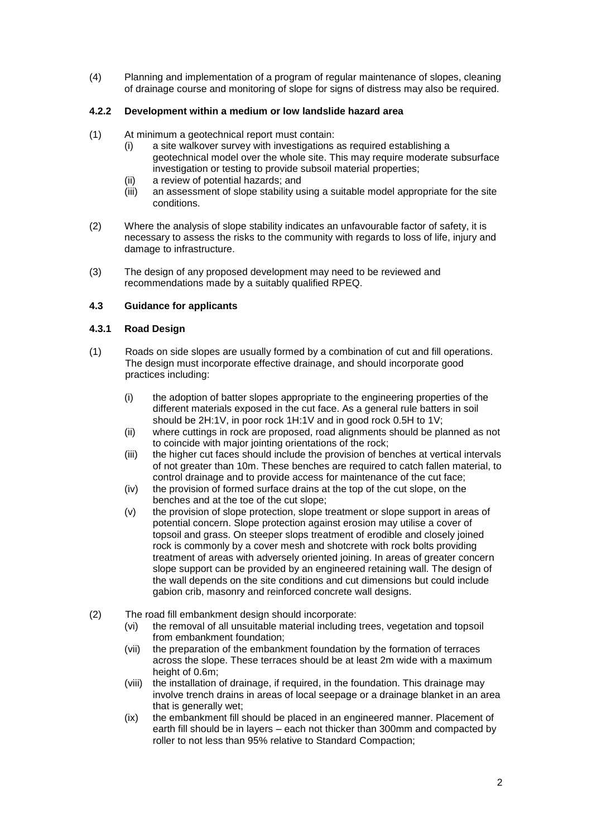(4) Planning and implementation of a program of regular maintenance of slopes, cleaning of drainage course and monitoring of slope for signs of distress may also be required.

### **4.2.2 Development within a medium or low landslide hazard area**

- (1) At minimum a geotechnical report must contain:
	- (i) a site walkover survey with investigations as required establishing a geotechnical model over the whole site. This may require moderate subsurface investigation or testing to provide subsoil material properties;
	- (ii) a review of potential hazards; and
	- (iii) an assessment of slope stability using a suitable model appropriate for the site conditions.
- (2) Where the analysis of slope stability indicates an unfavourable factor of safety, it is necessary to assess the risks to the community with regards to loss of life, injury and damage to infrastructure.
- (3) The design of any proposed development may need to be reviewed and recommendations made by a suitably qualified RPEQ.

### **4.3 Guidance for applicants**

### **4.3.1 Road Design**

- (1) Roads on side slopes are usually formed by a combination of cut and fill operations. The design must incorporate effective drainage, and should incorporate good practices including:
	- (i) the adoption of batter slopes appropriate to the engineering properties of the different materials exposed in the cut face. As a general rule batters in soil should be 2H:1V, in poor rock 1H:1V and in good rock 0.5H to 1V;
	- (ii) where cuttings in rock are proposed, road alignments should be planned as not to coincide with major jointing orientations of the rock;
	- (iii) the higher cut faces should include the provision of benches at vertical intervals of not greater than 10m. These benches are required to catch fallen material, to control drainage and to provide access for maintenance of the cut face;
	- (iv) the provision of formed surface drains at the top of the cut slope, on the benches and at the toe of the cut slope;
	- (v) the provision of slope protection, slope treatment or slope support in areas of potential concern. Slope protection against erosion may utilise a cover of topsoil and grass. On steeper slops treatment of erodible and closely joined rock is commonly by a cover mesh and shotcrete with rock bolts providing treatment of areas with adversely oriented joining. In areas of greater concern slope support can be provided by an engineered retaining wall. The design of the wall depends on the site conditions and cut dimensions but could include gabion crib, masonry and reinforced concrete wall designs.
- (2) The road fill embankment design should incorporate:
	- (vi) the removal of all unsuitable material including trees, vegetation and topsoil from embankment foundation;
	- (vii) the preparation of the embankment foundation by the formation of terraces across the slope. These terraces should be at least 2m wide with a maximum height of 0.6m;
	- (viii) the installation of drainage, if required, in the foundation. This drainage may involve trench drains in areas of local seepage or a drainage blanket in an area that is generally wet;
	- (ix) the embankment fill should be placed in an engineered manner. Placement of earth fill should be in layers – each not thicker than 300mm and compacted by roller to not less than 95% relative to Standard Compaction;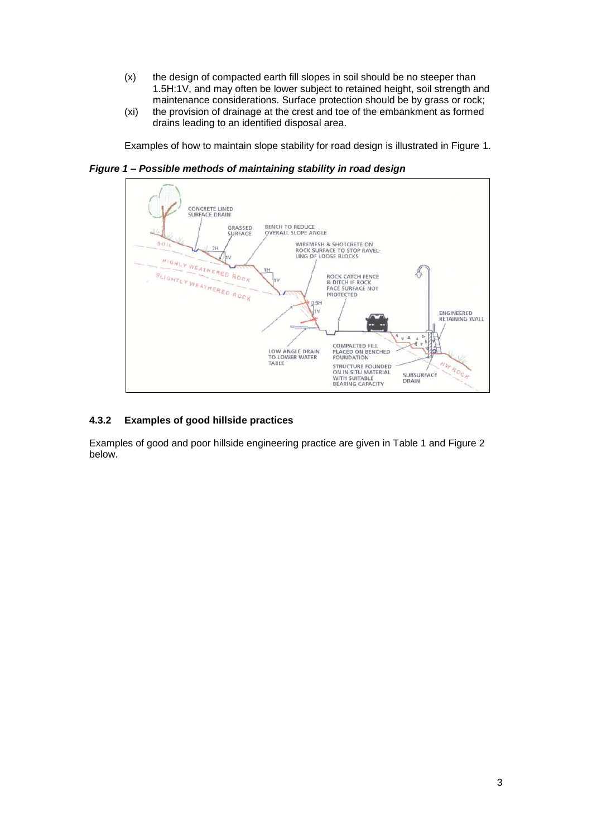- (x) the design of compacted earth fill slopes in soil should be no steeper than 1.5H:1V, and may often be lower subject to retained height, soil strength and maintenance considerations. Surface protection should be by grass or rock;
- (xi) the provision of drainage at the crest and toe of the embankment as formed drains leading to an identified disposal area.

Examples of how to maintain slope stability for road design is illustrated in Figure 1.

*Figure 1 – Possible methods of maintaining stability in road design*



#### **4.3.2 Examples of good hillside practices**

Examples of good and poor hillside engineering practice are given in Table 1 and Figure 2 below.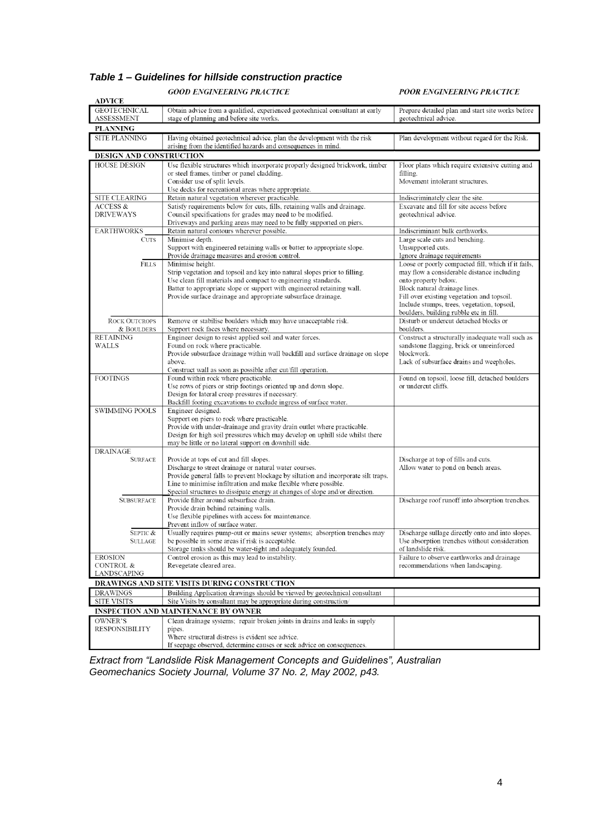## *Table 1 – Guidelines for hillside construction practice*

**GOOD ENGINEERING PRACTICE** 

POOR ENGINEERING PRACTICE

| <b>ADVICE</b>                                |                                                                                                                                                         |                                                                                               |  |
|----------------------------------------------|---------------------------------------------------------------------------------------------------------------------------------------------------------|-----------------------------------------------------------------------------------------------|--|
| <b>GEOTECHNICAL</b><br><b>ASSESSMENT</b>     | Obtain advice from a qualified, experienced geotechnical consultant at early<br>stage of planning and before site works.                                | Prepare detailed plan and start site works before<br>geotechnical advice.                     |  |
| <b>PLANNING</b>                              |                                                                                                                                                         |                                                                                               |  |
| SITE PLANNING                                | Having obtained geotechnical advice, plan the development with the risk<br>arising from the identified hazards and consequences in mind.                | Plan development without regard for the Risk.                                                 |  |
| DESIGN AND CONSTRUCTION                      |                                                                                                                                                         |                                                                                               |  |
| <b>HOUSE DESIGN</b>                          | Use flexible structures which incorporate properly designed brickwork, timber                                                                           | Floor plans which require extensive cutting and                                               |  |
|                                              | or steel frames, timber or panel cladding.                                                                                                              | filling.                                                                                      |  |
|                                              | Consider use of split levels.                                                                                                                           | Movement intolerant structures.                                                               |  |
| SITE CLEARING                                | Use decks for recreational areas where appropriate.<br>Retain natural vegetation wherever practicable.                                                  | Indiscriminately clear the site.                                                              |  |
| ACCESS &                                     | Satisfy requirements below for cuts, fills, retaining walls and drainage.                                                                               | Excavate and fill for site access before                                                      |  |
| <b>DRIVEWAYS</b>                             | Council specifications for grades may need to be modified.                                                                                              | geotechnical advice.                                                                          |  |
|                                              | Driveways and parking areas may need to be fully supported on piers.                                                                                    |                                                                                               |  |
| <b>EARTHWORKS</b>                            | Retain natural contours wherever possible.                                                                                                              | Indiscriminant bulk earthworks.                                                               |  |
| <b>CUTS</b>                                  | Minimise depth.<br>Support with engineered retaining walls or batter to appropriate slope.                                                              | Large scale cuts and benching.<br>Unsupported cuts.                                           |  |
|                                              | Provide drainage measures and erosion control.                                                                                                          | Ignore drainage requirements                                                                  |  |
| Fills                                        | Minimise height.                                                                                                                                        | Loose or poorly compacted fill, which if it fails,                                            |  |
|                                              | Strip vegetation and topsoil and key into natural slopes prior to filling.                                                                              | may flow a considerable distance including                                                    |  |
|                                              | Use clean fill materials and compact to engineering standards.                                                                                          | onto property below.                                                                          |  |
|                                              | Batter to appropriate slope or support with engineered retaining wall.<br>Provide surface drainage and appropriate subsurface drainage.                 | Block natural drainage lines.<br>Fill over existing vegetation and topsoil.                   |  |
|                                              |                                                                                                                                                         | Include stumps, trees, vegetation, topsoil,                                                   |  |
|                                              |                                                                                                                                                         | boulders, building rubble etc in fill.                                                        |  |
| <b>ROCK OUTCROPS</b>                         | Remove or stabilise boulders which may have unacceptable risk.                                                                                          | Disturb or undercut detached blocks or                                                        |  |
| & BOULDERS<br><b>RETAINING</b>               | Support rock faces where necessary.<br>Engineer design to resist applied soil and water forces.                                                         | boulders.                                                                                     |  |
| WALLS                                        | Found on rock where practicable.                                                                                                                        | Construct a structurally inadequate wall such as<br>sandstone flagging, brick or unreinforced |  |
|                                              | Provide subsurface drainage within wall backfill and surface drainage on slope                                                                          | blockwork.                                                                                    |  |
|                                              | above.                                                                                                                                                  | Lack of subsurface drains and weepholes.                                                      |  |
|                                              | Construct wall as soon as possible after cut/fill operation.                                                                                            |                                                                                               |  |
| <b>FOOTINGS</b>                              | Found within rock where practicable.<br>Use rows of piers or strip footings oriented up and down slope.                                                 | Found on topsoil, loose fill, detached boulders<br>or undercut cliffs.                        |  |
|                                              | Design for lateral creep pressures if necessary.                                                                                                        |                                                                                               |  |
|                                              | Backfill footing excavations to exclude ingress of surface water.                                                                                       |                                                                                               |  |
| <b>SWIMMING POOLS</b>                        | Engineer designed.                                                                                                                                      |                                                                                               |  |
|                                              | Support on piers to rock where practicable.                                                                                                             |                                                                                               |  |
|                                              | Provide with under-drainage and gravity drain outlet where practicable.<br>Design for high soil pressures which may develop on uphill side whilst there |                                                                                               |  |
|                                              | may be little or no lateral support on downhill side.                                                                                                   |                                                                                               |  |
| <b>DRAINAGE</b>                              |                                                                                                                                                         |                                                                                               |  |
| <b>SURFACE</b>                               | Provide at tops of cut and fill slopes.                                                                                                                 | Discharge at top of fills and cuts.                                                           |  |
|                                              | Discharge to street drainage or natural water courses.                                                                                                  | Allow water to pond on bench areas.                                                           |  |
|                                              | Provide general falls to prevent blockage by siltation and incorporate silt traps.<br>Line to minimise infiltration and make flexible where possible.   |                                                                                               |  |
|                                              | Special structures to dissipate energy at changes of slope and/or direction.                                                                            |                                                                                               |  |
| <b>SUBSURFACE</b>                            | Provide filter around subsurface drain.                                                                                                                 | Discharge roof runoff into absorption trenches.                                               |  |
|                                              | Provide drain behind retaining walls.                                                                                                                   |                                                                                               |  |
|                                              | Use flexible pipelines with access for maintenance.                                                                                                     |                                                                                               |  |
| SEPTIC &                                     | Prevent inflow of surface water.<br>Usually requires pump-out or mains sewer systems; absorption trenches may                                           | Discharge sullage directly onto and into slopes.                                              |  |
| SULLAGE                                      | be possible in some areas if risk is acceptable.                                                                                                        | Use absorption trenches without consideration                                                 |  |
|                                              | Storage tanks should be water-tight and adequately founded.                                                                                             | of landslide risk.                                                                            |  |
| <b>EROSION</b>                               | Control erosion as this may lead to instability.                                                                                                        | Failure to observe earthworks and drainage                                                    |  |
| <b>CONTROL &amp;</b>                         | Revegetate cleared area.                                                                                                                                | recommendations when landscaping.                                                             |  |
| LANDSCAPING                                  |                                                                                                                                                         |                                                                                               |  |
| DRAWINGS AND SITE VISITS DURING CONSTRUCTION |                                                                                                                                                         |                                                                                               |  |
| <b>DRAWINGS</b><br><b>SITE VISITS</b>        | Building Application drawings should be viewed by geotechnical consultant<br>Site Visits by consultant may be appropriate during construction/          |                                                                                               |  |
| <b>INSPECTION AND MAINTENANCE BY OWNER</b>   |                                                                                                                                                         |                                                                                               |  |
| OWNER'S                                      | Clean drainage systems; repair broken joints in drains and leaks in supply                                                                              |                                                                                               |  |
| <b>RESPONSIBILITY</b>                        | pipes.                                                                                                                                                  |                                                                                               |  |
|                                              | Where structural distress is evident see advice.                                                                                                        |                                                                                               |  |
|                                              | If seepage observed, determine causes or seek advice on consequences                                                                                    |                                                                                               |  |

*Extract from "Landslide Risk Management Concepts and Guidelines", Australian Geomechanics Society Journal, Volume 37 No. 2, May 2002, p43.*